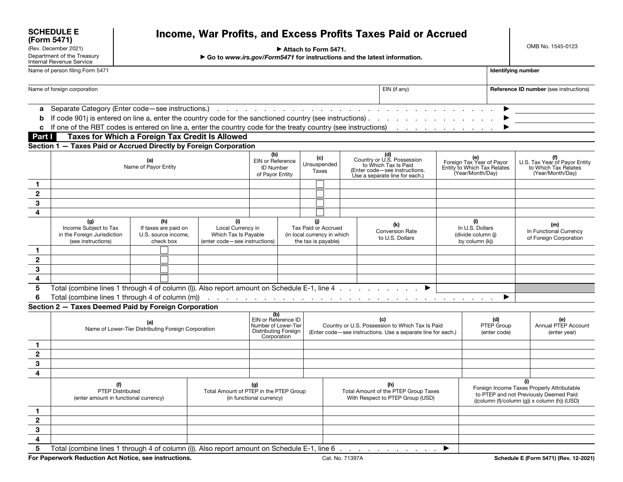OMB No. 1545-0123

|                                                       | (Rev. December 2021)<br>Attach to Form 5471.                                                                     |                                                                                                                                |  |                                                                                           |                                                                |  |                                                                                                                        |                             |  |                                                                                                                                                                                                                     | <b>UMB NO. 1545-0123</b>                                       |                                            |  |                                                                                  |
|-------------------------------------------------------|------------------------------------------------------------------------------------------------------------------|--------------------------------------------------------------------------------------------------------------------------------|--|-------------------------------------------------------------------------------------------|----------------------------------------------------------------|--|------------------------------------------------------------------------------------------------------------------------|-----------------------------|--|---------------------------------------------------------------------------------------------------------------------------------------------------------------------------------------------------------------------|----------------------------------------------------------------|--------------------------------------------|--|----------------------------------------------------------------------------------|
|                                                       | Department of the Treasury<br><b>Internal Revenue Service</b>                                                    |                                                                                                                                |  | Go to www.irs.gov/Form5471 for instructions and the latest information.                   |                                                                |  |                                                                                                                        |                             |  |                                                                                                                                                                                                                     |                                                                |                                            |  |                                                                                  |
| Name of person filing Form 5471<br>Identifying number |                                                                                                                  |                                                                                                                                |  |                                                                                           |                                                                |  |                                                                                                                        |                             |  |                                                                                                                                                                                                                     |                                                                |                                            |  |                                                                                  |
| Name of foreign corporation<br>EIN (if any)           |                                                                                                                  |                                                                                                                                |  |                                                                                           |                                                                |  |                                                                                                                        |                             |  | Reference ID number (see instructions)                                                                                                                                                                              |                                                                |                                            |  |                                                                                  |
|                                                       |                                                                                                                  |                                                                                                                                |  |                                                                                           |                                                                |  |                                                                                                                        |                             |  |                                                                                                                                                                                                                     |                                                                |                                            |  |                                                                                  |
|                                                       |                                                                                                                  |                                                                                                                                |  |                                                                                           |                                                                |  |                                                                                                                        |                             |  |                                                                                                                                                                                                                     |                                                                |                                            |  |                                                                                  |
| b                                                     |                                                                                                                  |                                                                                                                                |  |                                                                                           |                                                                |  |                                                                                                                        |                             |  |                                                                                                                                                                                                                     |                                                                |                                            |  |                                                                                  |
|                                                       | c If one of the RBT codes is entered on line a, enter the country code for the treaty country (see instructions) |                                                                                                                                |  |                                                                                           |                                                                |  |                                                                                                                        |                             |  | and the contract of the contract of                                                                                                                                                                                 |                                                                |                                            |  |                                                                                  |
| Part I                                                |                                                                                                                  |                                                                                                                                |  | Taxes for Which a Foreign Tax Credit Is Allowed                                           |                                                                |  |                                                                                                                        |                             |  |                                                                                                                                                                                                                     |                                                                |                                            |  |                                                                                  |
|                                                       | Section 1 - Taxes Paid or Accrued Directly by Foreign Corporation                                                |                                                                                                                                |  |                                                                                           |                                                                |  |                                                                                                                        |                             |  |                                                                                                                                                                                                                     |                                                                |                                            |  |                                                                                  |
|                                                       | (a)<br>Name of Payor Entity                                                                                      |                                                                                                                                |  |                                                                                           | (b)<br>EIN or Reference<br><b>ID Number</b><br>of Payor Entity |  | (c)<br>Unsuspended<br>Taxes                                                                                            |                             |  | (d)<br>Country or U.S. Possession<br>to Which Tax Is Paid<br>(e)<br>Foreign Tax Year of Payor<br>Entity to Which Tax Relates<br>(Year/Month/Day)<br>(Enter code-see instructions.<br>Use a separate line for each.) |                                                                |                                            |  | (f)<br>U.S. Tax Year of Payor Entity<br>to Which Tax Relates<br>(Year/Month/Day) |
| 1.                                                    |                                                                                                                  |                                                                                                                                |  |                                                                                           |                                                                |  |                                                                                                                        |                             |  |                                                                                                                                                                                                                     |                                                                |                                            |  |                                                                                  |
| $\boldsymbol{2}$                                      |                                                                                                                  |                                                                                                                                |  |                                                                                           |                                                                |  |                                                                                                                        |                             |  |                                                                                                                                                                                                                     |                                                                |                                            |  |                                                                                  |
| 3                                                     |                                                                                                                  |                                                                                                                                |  |                                                                                           |                                                                |  |                                                                                                                        |                             |  |                                                                                                                                                                                                                     |                                                                |                                            |  |                                                                                  |
| 4                                                     |                                                                                                                  |                                                                                                                                |  |                                                                                           |                                                                |  |                                                                                                                        |                             |  |                                                                                                                                                                                                                     |                                                                |                                            |  |                                                                                  |
|                                                       | (g)<br>(see instructions)                                                                                        | (i)<br>(h)<br>Income Subject to Tax<br>If taxes are paid on<br>in the Foreign Jurisdiction<br>U.S. source income,<br>check box |  | Local Currency in<br>Which Tax Is Payable<br>(enter code-see instructions)                |                                                                |  | (j)<br>Tax Paid or Accrued<br>the tax is payable)                                                                      | (in local currency in which |  | (k)<br><b>Conversion Rate</b><br>to U.S. Dollars                                                                                                                                                                    | (1)<br>In U.S. Dollars<br>(divide column (i)<br>by column (k)) |                                            |  | (m)<br>In Functional Currency<br>of Foreign Corporation                          |
| 1.                                                    |                                                                                                                  |                                                                                                                                |  |                                                                                           |                                                                |  |                                                                                                                        |                             |  |                                                                                                                                                                                                                     |                                                                |                                            |  |                                                                                  |
| $\mathbf 2$                                           |                                                                                                                  |                                                                                                                                |  |                                                                                           |                                                                |  |                                                                                                                        |                             |  |                                                                                                                                                                                                                     |                                                                |                                            |  |                                                                                  |
| 3                                                     |                                                                                                                  |                                                                                                                                |  |                                                                                           |                                                                |  |                                                                                                                        |                             |  |                                                                                                                                                                                                                     |                                                                |                                            |  |                                                                                  |
| 4                                                     |                                                                                                                  |                                                                                                                                |  |                                                                                           |                                                                |  |                                                                                                                        |                             |  |                                                                                                                                                                                                                     |                                                                |                                            |  |                                                                                  |
| 5                                                     | Total (combine lines 1 through 4 of column (I)). Also report amount on Schedule E-1, line 4                      |                                                                                                                                |  |                                                                                           |                                                                |  |                                                                                                                        |                             |  |                                                                                                                                                                                                                     |                                                                |                                            |  |                                                                                  |
| 6                                                     |                                                                                                                  |                                                                                                                                |  |                                                                                           |                                                                |  |                                                                                                                        |                             |  |                                                                                                                                                                                                                     |                                                                | ▶                                          |  |                                                                                  |
|                                                       | Section 2 - Taxes Deemed Paid by Foreign Corporation                                                             |                                                                                                                                |  |                                                                                           |                                                                |  |                                                                                                                        |                             |  |                                                                                                                                                                                                                     |                                                                |                                            |  |                                                                                  |
|                                                       | (a)<br>Name of Lower-Tier Distributing Foreign Corporation                                                       |                                                                                                                                |  | (b)<br>EIN or Reference ID<br>Number of Lower-Tier<br>Distributing Foreign<br>Corporation |                                                                |  | (c)<br>Country or U.S. Possession to Which Tax Is Paid<br>(Enter code-see instructions. Use a separate line for each.) |                             |  | (d)<br>PTEP Group<br>(enter code)                                                                                                                                                                                   |                                                                | (e)<br>Annual PTEP Account<br>(enter year) |  |                                                                                  |
| 1.                                                    |                                                                                                                  |                                                                                                                                |  |                                                                                           |                                                                |  |                                                                                                                        |                             |  |                                                                                                                                                                                                                     |                                                                |                                            |  |                                                                                  |
| $\mathbf{2}$                                          |                                                                                                                  |                                                                                                                                |  |                                                                                           |                                                                |  |                                                                                                                        |                             |  |                                                                                                                                                                                                                     |                                                                |                                            |  |                                                                                  |
| 3                                                     |                                                                                                                  |                                                                                                                                |  |                                                                                           |                                                                |  |                                                                                                                        |                             |  |                                                                                                                                                                                                                     |                                                                |                                            |  |                                                                                  |
| 4                                                     |                                                                                                                  |                                                                                                                                |  |                                                                                           |                                                                |  |                                                                                                                        |                             |  |                                                                                                                                                                                                                     |                                                                |                                            |  |                                                                                  |
|                                                       | (f)<br>PTEP Distributed<br>(enter amount in functional currency)                                                 |                                                                                                                                |  | (g)<br>Total Amount of PTEP in the PTEP Group<br>(in functional currency)                 |                                                                |  | (h)<br>Total Amount of the PTEP Group Taxes<br>With Respect to PTEP Group (USD)                                        |                             |  | (i)<br>Foreign Income Taxes Properly Attributable<br>to PTEP and not Previously Deemed Paid<br>((column (f)/column (g)) x column (h)) (USD)                                                                         |                                                                |                                            |  |                                                                                  |
| 1.                                                    |                                                                                                                  |                                                                                                                                |  |                                                                                           |                                                                |  |                                                                                                                        |                             |  |                                                                                                                                                                                                                     |                                                                |                                            |  |                                                                                  |
| $\mathbf 2$                                           |                                                                                                                  |                                                                                                                                |  |                                                                                           |                                                                |  |                                                                                                                        |                             |  |                                                                                                                                                                                                                     |                                                                |                                            |  |                                                                                  |
| 3                                                     |                                                                                                                  |                                                                                                                                |  |                                                                                           |                                                                |  |                                                                                                                        |                             |  |                                                                                                                                                                                                                     |                                                                |                                            |  |                                                                                  |
| 4                                                     |                                                                                                                  |                                                                                                                                |  |                                                                                           |                                                                |  |                                                                                                                        |                             |  |                                                                                                                                                                                                                     |                                                                |                                            |  |                                                                                  |
| 5                                                     | Total (combine lines 1 through 4 of column (i)). Also report amount on Schedule E-1, line 6                      |                                                                                                                                |  |                                                                                           |                                                                |  |                                                                                                                        |                             |  |                                                                                                                                                                                                                     | ▶                                                              |                                            |  |                                                                                  |

For Paperwork Reduction Act Notice, see instructions. Cat. No. 71397A Cat. No. 71397A Schedule E (Form 5471) (Rev. 12-2021)

SCHEDULE E (Form 5471)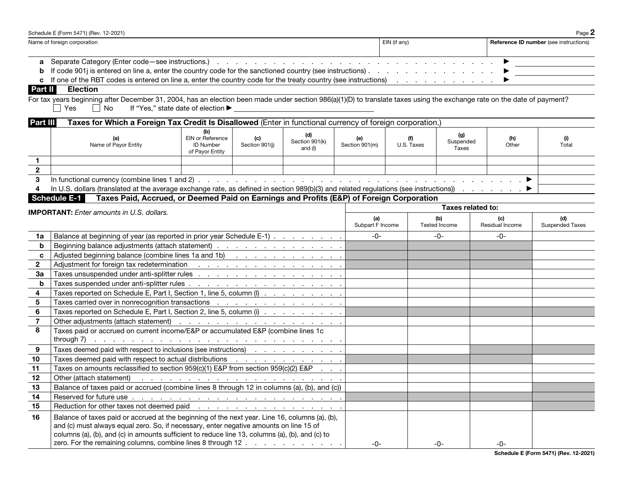| Page $2$<br>Schedule E (Form 5471) (Rev. 12-2021)                                                                                                |                                                                                                                                                                                                                                |                                               |  |  |  |  |  |
|--------------------------------------------------------------------------------------------------------------------------------------------------|--------------------------------------------------------------------------------------------------------------------------------------------------------------------------------------------------------------------------------|-----------------------------------------------|--|--|--|--|--|
| Name of foreign corporation                                                                                                                      | EIN (if any)                                                                                                                                                                                                                   | <b>Reference ID number</b> (see instructions) |  |  |  |  |  |
|                                                                                                                                                  |                                                                                                                                                                                                                                |                                               |  |  |  |  |  |
|                                                                                                                                                  |                                                                                                                                                                                                                                |                                               |  |  |  |  |  |
| <b>b</b> If code 901j is entered on line a, enter the country code for the sanctioned country (see instructions). $\ldots$ , $\ldots$ , $\ldots$ |                                                                                                                                                                                                                                |                                               |  |  |  |  |  |
| c If one of the RBT codes is entered on line a, enter the country code for the treaty country (see instructions)                                 | and the contract of the contract of the contract of the contract of the contract of the contract of the contract of the contract of the contract of the contract of the contract of the contract of the contract of the contra |                                               |  |  |  |  |  |

## Part II Election

For tax years beginning after December 31, 2004, has an election been made under section 986(a)(1)(D) to translate taxes using the exchange rate on the date of payment? Yes □ No If "Yes," state date of election ▶

| Part III | Taxes for Which a Foreign Tax Credit Is Disallowed (Enter in functional currency of foreign corporation.) |                                                         |                       |                           |                       |            |                           |              |       |
|----------|-----------------------------------------------------------------------------------------------------------|---------------------------------------------------------|-----------------------|---------------------------|-----------------------|------------|---------------------------|--------------|-------|
|          | Name of Payor Entity                                                                                      | EIN or Reference<br><b>ID Number</b><br>of Payor Entity | (c)<br>Section 901(i) | Section 901(k)<br>and (I) | (e)<br>Section 901(m) | U.S. Taxes | (g)<br>Suspended<br>Taxes | (h)<br>Other | Total |
|          |                                                                                                           |                                                         |                       |                           |                       |            |                           |              |       |
|          |                                                                                                           |                                                         |                       |                           |                       |            |                           |              |       |
|          |                                                                                                           |                                                         |                       |                           |                       |            |                           |              |       |
|          |                                                                                                           |                                                         |                       |                           |                       |            |                           |              |       |
|          | Colorado - France Deld, Assumed, au Desmod Deld, au Faudiens, and Durfle, (FOD), of Fauding Osmonation,   |                                                         |                       |                           |                       |            |                           |              |       |

Schedule E-1 Taxes Paid, Accrued, or Deemed Paid on Earnings and Profits (E&P) of Foreign Corporation

|                | <b>IMPORTANT:</b> Enter amounts in U.S. dollars.                                                                                                                    | Taxes related to:       |                             |                        |                               |  |  |
|----------------|---------------------------------------------------------------------------------------------------------------------------------------------------------------------|-------------------------|-----------------------------|------------------------|-------------------------------|--|--|
|                |                                                                                                                                                                     | (a)<br>Subpart F Income | (b)<br><b>Tested Income</b> | (c)<br>Residual Income | (d)<br><b>Suspended Taxes</b> |  |  |
| 1a             | Balance at beginning of year (as reported in prior year Schedule E-1)                                                                                               | $-0-$                   | $-0-$                       | -0-                    |                               |  |  |
| b              | Beginning balance adjustments (attach statement)                                                                                                                    |                         |                             |                        |                               |  |  |
| C              | Adjusted beginning balance (combine lines 1a and 1b)                                                                                                                |                         |                             |                        |                               |  |  |
| $\mathbf{2}$   |                                                                                                                                                                     |                         |                             |                        |                               |  |  |
| 3a             |                                                                                                                                                                     |                         |                             |                        |                               |  |  |
| b              |                                                                                                                                                                     |                         |                             |                        |                               |  |  |
| 4              | Taxes reported on Schedule E, Part I, Section 1, line 5, column (I) $\ldots$                                                                                        |                         |                             |                        |                               |  |  |
| 5              |                                                                                                                                                                     |                         |                             |                        |                               |  |  |
| 6              | Taxes reported on Schedule E, Part I, Section 2, line 5, column (i)                                                                                                 |                         |                             |                        |                               |  |  |
| $\overline{7}$ |                                                                                                                                                                     |                         |                             |                        |                               |  |  |
| 8              | Taxes paid or accrued on current income/E&P or accumulated E&P (combine lines 1c                                                                                    |                         |                             |                        |                               |  |  |
|                | <b>through 7)</b> $\ldots$ $\ldots$ $\ldots$ $\ldots$ $\ldots$ $\ldots$ $\ldots$ $\ldots$ $\ldots$ $\ldots$ $\ldots$ $\ldots$ $\ldots$                              |                         |                             |                        |                               |  |  |
| 9              | Taxes deemed paid with respect to inclusions (see instructions) enterstanded and some states of the Taxes deemed paid with respect to inclusions (see instructions) |                         |                             |                        |                               |  |  |
| 10             | Taxes deemed paid with respect to actual distributions (etc.) contained a series and contained a series of the                                                      |                         |                             |                        |                               |  |  |
| 11             | Taxes on amounts reclassified to section $959(c)(1)$ E&P from section $959(c)(2)$ E&P                                                                               |                         |                             |                        |                               |  |  |
| 12             |                                                                                                                                                                     |                         |                             |                        |                               |  |  |
| 13             | Balance of taxes paid or accrued (combine lines 8 through 12 in columns (a), (b), and (c))                                                                          |                         |                             |                        |                               |  |  |
| 14             |                                                                                                                                                                     |                         |                             |                        |                               |  |  |
| 15             | Reduction for other taxes not deemed paid <u>.</u>                                                                                                                  |                         |                             |                        |                               |  |  |
| 16             | Balance of taxes paid or accrued at the beginning of the next year. Line 16, columns (a), (b),                                                                      |                         |                             |                        |                               |  |  |
|                | and (c) must always equal zero. So, if necessary, enter negative amounts on line 15 of                                                                              |                         |                             |                        |                               |  |  |
|                | columns (a), (b), and (c) in amounts sufficient to reduce line 13, columns (a), (b), and (c) to                                                                     |                         |                             |                        |                               |  |  |
|                | zero. For the remaining columns, combine lines 8 through 12                                                                                                         | $-0-$                   | -0-                         | -0-                    |                               |  |  |

Schedule E (Form 5471) (Rev. 12-2021)